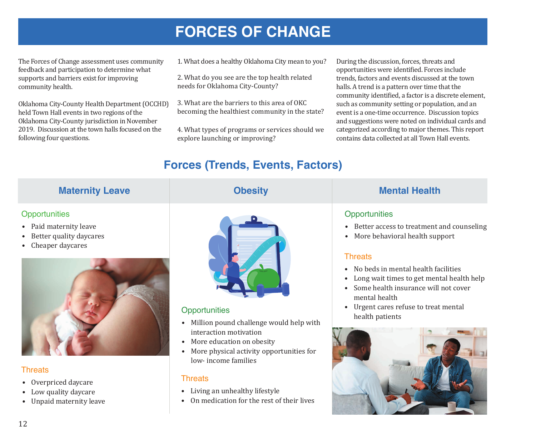# **FORCES OF CHANGE**

The Forces of Change assessment uses community feedback and participation to determine what supports and barriers exist for improving community health.

Oklahoma City-County Health Department (OCCHD) held Town Hall events in two regions of the Oklahoma City-County jurisdiction in November 2019. Discussion at the town halls focused on the following four questions.

- 1. What does a healthy Oklahoma City mean to you?
- 2. What do you see are the top health related needs for Oklahoma City-County?
- 3. What are the barriers to this area of OKC becoming the healthiest community in the state?
- 4. What types of programs or services should we explore launching or improving?

During the discussion, forces, threats and opportunities were identified. Forces include trends, factors and events discussed at the town halls. A trend is a pattern over time that the community identified, a factor is a discrete element, such as community setting or population, and an event is a one-time occurrence. Discussion topics and suggestions were noted on individual cards and categorized according to major themes. This report contains data collected at all Town Hall events.

## **Forces (Trends, Events, Factors)**

| <b>Maternity Leave</b>                                                                                           | <b>Obesity</b>                                                                                                                                                                                                            | <b>Mental Health</b>                                                                                                                                                                                                                                                                                                                                                                                |
|------------------------------------------------------------------------------------------------------------------|---------------------------------------------------------------------------------------------------------------------------------------------------------------------------------------------------------------------------|-----------------------------------------------------------------------------------------------------------------------------------------------------------------------------------------------------------------------------------------------------------------------------------------------------------------------------------------------------------------------------------------------------|
| Opportunities<br>• Paid maternity leave<br>Better quality daycares<br>$\bullet$<br>Cheaper daycares<br>$\bullet$ | Opportunities<br>Million pound challenge would help with<br>$\bullet$<br>interaction motivation<br>More education on obesity<br>$\bullet$<br>More physical activity opportunities for<br>$\bullet$<br>low-income families | Opportunities<br>Better access to treatment and counseling<br>$\bullet$<br>More behavioral health support<br>$\bullet$<br><b>Threats</b><br>No beds in mental health facilities<br>$\bullet$<br>Long wait times to get mental health help<br>$\bullet$<br>Some health insurance will not cover<br>$\bullet$<br>mental health<br>Urgent cares refuse to treat mental<br>$\bullet$<br>health patients |
| <b>Threats</b><br>• Overpriced daycare<br>Low quality daycare<br>$\bullet$<br>• Unpaid maternity leave           | <b>Threats</b><br>Living an unhealthy lifestyle<br>$\bullet$<br>On medication for the rest of their lives                                                                                                                 |                                                                                                                                                                                                                                                                                                                                                                                                     |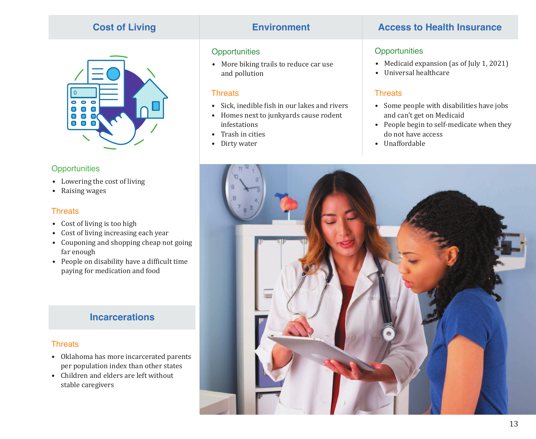## **Cost of Living**



### **Opportunities**

- Lowering the cost of living
- Raising wages

### **Threats**

- Cost of living is too high
- Cost of living increasing each year
- Couponing and shopping cheap not going far enough
- People on disability have a difficult time paying for medication and food

## **Incarcerations**

## **Threats**

- Oklahoma has more incarcerated parents per population index than other states
- Children and elders are left without stable caregivers

## **Opportunities**

• More biking trails to reduce car use and pollution

### **Threats**

- Sick, inedible fish in our lakes and rivers
- Homes next to junkyards cause rodent infestations
- Trash in cities
- Dirty water

## **Environment Access to Health Insurance**

## **Opportunities**

- Medicaid expansion (as of July 1, 2021)
- Universal healthcare

## **Threats**

- Some people with disabilities have jobs and can't get on Medicaid
- People begin to self-medicate when they do not have access
- Unaffordable

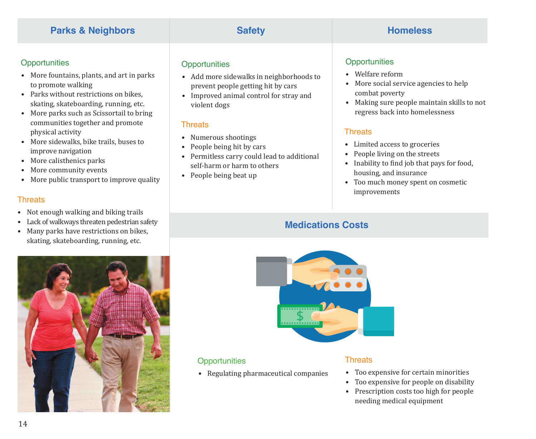## **Parks & Neighbors Safety Safety Homeless**

## **Opportunities**

- More fountains, plants, and art in parks to promote walking
- Parks without restrictions on bikes, skating, skateboarding, running, etc.
- More parks such as Scissortail to bring communities together and promote physical activity
- More sidewalks, bike trails, buses to improve navigation
- More calisthenics parks
- More community events
- More public transport to improve quality

### **Threats**

- Not enough walking and biking trails
- Lack of walkways threaten pedestrian safety
- Many parks have restrictions on bikes, skating, skateboarding, running, etc.

## **Opportunities**

- Add more sidewalks in neighborhoods to prevent people getting hit by cars
- Improved animal control for stray and violent dogs

## **Threats**

- Numerous shootings
- People being hit by cars
- Permitless carry could lead to additional self-harm or harm to others
- People being beat up

## **Opportunities**

- Welfare reform
- More social service agencies to help combat poverty
- Making sure people maintain skills to not regress back into homelessness

## **Threats**

- Limited access to groceries
- People living on the streets
- Inability to find job that pays for food, housing, and insurance
- Too much money spent on cosmetic improvements

## **Medications Costs**





## **Opportunities**

• Regulating pharmaceutical companies

### **Threats**

- Too expensive for certain minorities
- Too expensive for people on disability
- Prescription costs too high for people needing medical equipment